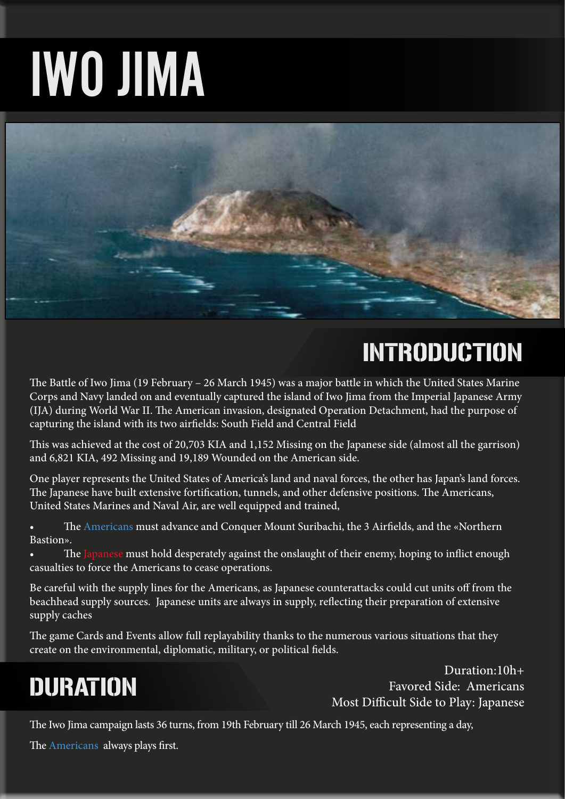# IWO JIMA



# INTRODUCTION

The Battle of Iwo Jima (19 February – 26 March 1945) was a major battle in which the United States Marine Corps and Navy landed on and eventually captured the island of Iwo Jima from the Imperial Japanese Army (IJA) during World War II. The American invasion, designated Operation Detachment, had the purpose of capturing the island with its two airfields: South Field and Central Field

This was achieved at the cost of 20,703 KIA and 1,152 Missing on the Japanese side (almost all the garrison) and 6,821 KIA, 492 Missing and 19,189 Wounded on the American side.

One player represents the United States of America's land and naval forces, the other has Japan's land forces. The Japanese have built extensive fortification, tunnels, and other defensive positions. The Americans, United States Marines and Naval Air, are well equipped and trained,

The Americans must advance and Conquer Mount Suribachi, the 3 Airfields, and the «Northern Bastion».

• The Japanese must hold desperately against the onslaught of their enemy, hoping to inflict enough casualties to force the Americans to cease operations.

Be careful with the supply lines for the Americans, as Japanese counterattacks could cut units off from the beachhead supply sources. Japanese units are always in supply, reflecting their preparation of extensive supply caches

The game Cards and Events allow full replayability thanks to the numerous various situations that they create on the environmental, diplomatic, military, or political fields.

# DURATION

Duration:10h+ Favored Side: Americans Most Difficult Side to Play: Japanese

The Iwo Jima campaign lasts 36 turns, from 19th February till 26 March 1945, each representing a day,

The Americans always plays first.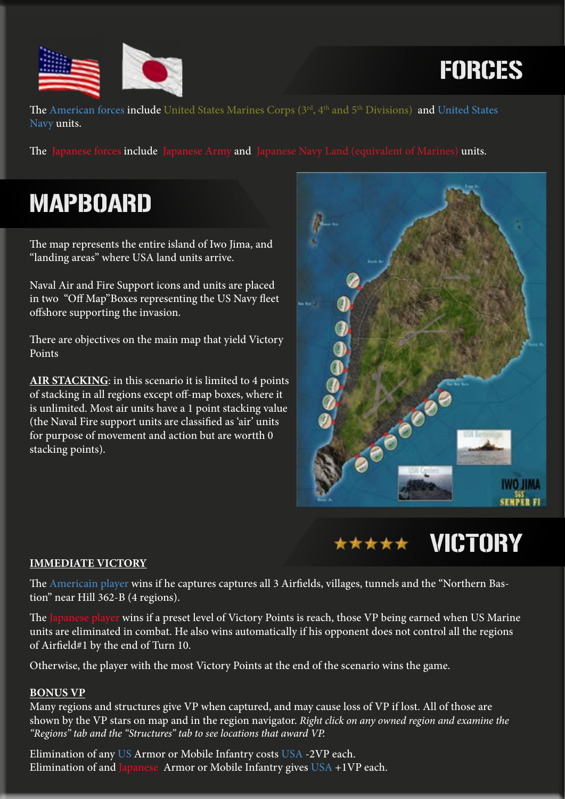

FORCES

The American forces include United States Marines Corps (3rd, 4<sup>th</sup> and 5<sup>th</sup> Divisions) and United States Navy units.

The Japanese forces include Japanese Army and Japanese Navy Land (equivalent of Marines) units.

# MAPBOARD

The map represents the entire island of Iwo Jima, and "landing areas" where USA land units arrive.

Naval Air and Fire Support icons and units are placed in two "Off Map"Boxes representing the US Navy fleet offshore supporting the invasion.

There are objectives on the main map that yield Victory Points

**AIR STACKING**: in this scenario it is limited to 4 points of stacking in all regions except off-map boxes, where it is unlimited. Most air units have a 1 point stacking value (the Naval Fire support units are classified as 'air' units for purpose of movement and action but are wortth 0 stacking points).





### **IMMEDIATE VICTORY**

The Americain player wins if he captures captures all 3 Airfields, villages, tunnels and the "Northern Bastion" near Hill 362-B (4 regions).

The Japanese player wins if a preset level of Victory Points is reach, those VP being earned when US Marine units are eliminated in combat. He also wins automatically if his opponent does not control all the regions of Airfield#1 by the end of Turn 10.

Otherwise, the player with the most Victory Points at the end of the scenario wins the game.

#### **BONUS VP**

Many regions and structures give VP when captured, and may cause loss of VP if lost. All of those are shown by the VP stars on map and in the region navigator. *Right click on any owned region and examine the "Regions" tab and the "Structures" tab to see locations that award VP.*

Elimination of any US Armor or Mobile Infantry costs USA -2VP each. Elimination of and Japanese Armor or Mobile Infantry gives  $USA +1VP$  each.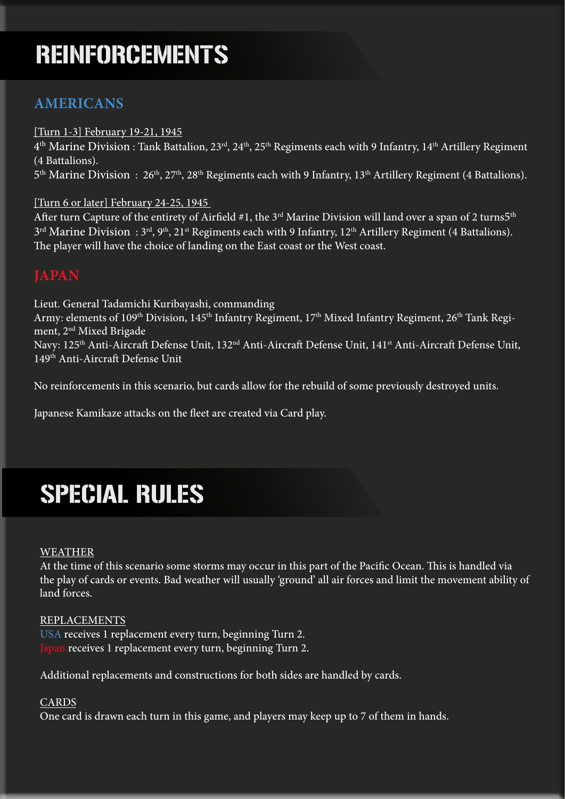# REINFORCEMENTS

### **AMERICANS**

#### [Turn 1-3] February 19-21, 1945

 $4<sup>th</sup>$  Marine Division : Tank Battalion, 23<sup>rd</sup>, 24<sup>th</sup>, 25<sup>th</sup> Regiments each with 9 Infantry, 14<sup>th</sup> Artillery Regiment (4 Battalions).

5<sup>th</sup> Marine Division : 26<sup>th</sup>, 27<sup>th</sup>, 28<sup>th</sup> Regiments each with 9 Infantry, 13<sup>th</sup> Artillery Regiment (4 Battalions).

### [Turn 6 or later] February 24-25, 1945

After turn Capture of the entirety of Airfield #1, the 3<sup>rd</sup> Marine Division will land over a span of 2 turns5<sup>th</sup>  $3<sup>rd</sup>$  Marine Division :  $3<sup>rd</sup>$ ,  $9<sup>th</sup>$ ,  $21<sup>st</sup>$  Regiments each with 9 Infantry,  $12<sup>th</sup>$  Artillery Regiment (4 Battalions). The player will have the choice of landing on the East coast or the West coast.

### **JAPAN**

Lieut. General Tadamichi Kuribayashi, commanding Army: elements of 109<sup>th</sup> Division, 145<sup>th</sup> Infantry Regiment, 17<sup>th</sup> Mixed Infantry Regiment, 26<sup>th</sup> Tank Regiment, 2<sup>nd</sup> Mixed Brigade Navy: 125<sup>th</sup> Anti-Aircraft Defense Unit, 132<sup>nd</sup> Anti-Aircraft Defense Unit, 141<sup>st</sup> Anti-Aircraft Defense Unit, 149th Anti-Aircraft Defense Unit

No reinforcements in this scenario, but cards allow for the rebuild of some previously destroyed units.

Japanese Kamikaze attacks on the fleet are created via Card play.

# SPECIAL RULES

#### WEATHER

At the time of this scenario some storms may occur in this part of the Pacific Ocean. This is handled via the play of cards or events. Bad weather will usually 'ground' all air forces and limit the movement ability of land forces.

#### REPLACEMENTS

USA receives 1 replacement every turn, beginning Turn 2. Japan receives 1 replacement every turn, beginning Turn 2.

Additional replacements and constructions for both sides are handled by cards.

### CARDS

One card is drawn each turn in this game, and players may keep up to 7 of them in hands.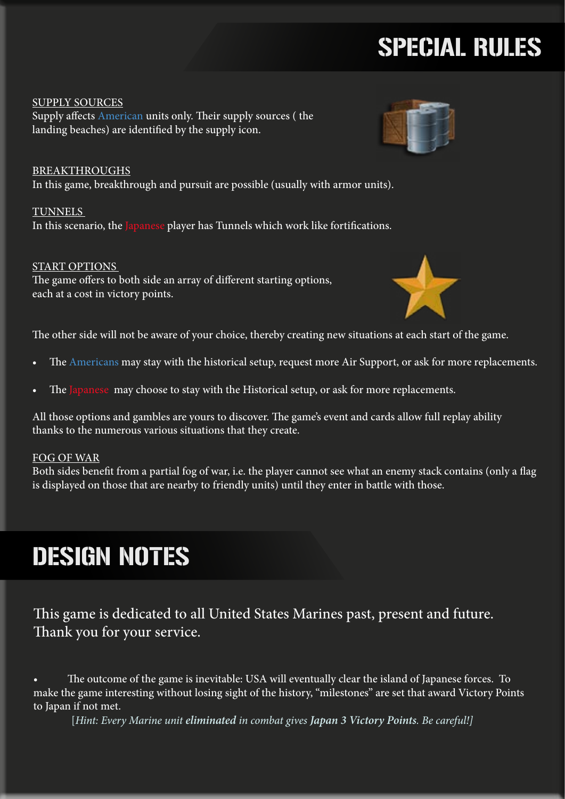# SPECIAL RULES

SUPPLY SOURCES Supply affects American units only. Their supply sources ( the landing beaches) are identified by the supply icon.

BREAKTHROUGHS In this game, breakthrough and pursuit are possible (usually with armor units).

TUNNELS In this scenario, the Japanese player has Tunnels which work like fortifications.

### START OPTIONS

The game offers to both side an array of different starting options, each at a cost in victory points.

The other side will not be aware of your choice, thereby creating new situations at each start of the game.

- The Americans may stay with the historical setup, request more Air Support, or ask for more replacements.
- The Japanese may choose to stay with the Historical setup, or ask for more replacements.

All those options and gambles are yours to discover. The game's event and cards allow full replay ability thanks to the numerous various situations that they create.

### FOG OF WAR

Both sides benefit from a partial fog of war, i.e. the player cannot see what an enemy stack contains (only a flag is displayed on those that are nearby to friendly units) until they enter in battle with those.

# DESIGN NOTES

This game is dedicated to all United States Marines past, present and future. Thank you for your service.

The outcome of the game is inevitable: USA will eventually clear the island of Japanese forces. To make the game interesting without losing sight of the history, "milestones" are set that award Victory Points to Japan if not met.

[*Hint: Every Marine unit eliminated in combat gives Japan 3 Victory Points. Be careful!]*